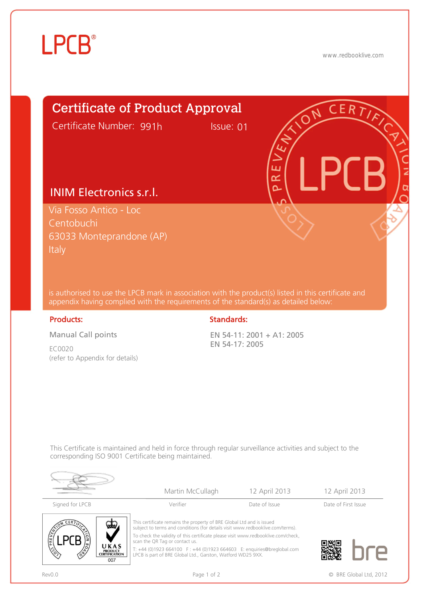

www.redbooklive.com



is authorised to use the LPCB mark in association with the product(s) listed in this certificate and appendix having complied with the requirements of the standard(s) as detailed below:

Manual Call points

EC0020 (refer to Appendix for details)

## Products: Standards: Standards: Standards: Standards: Standards: Standards: Standards: Standards: Standards: Standards: Standards: Standards: Standards: Standards: Standards: Standards: Standards: Standards: Standards: Sta

EN 54-11: 2001 + A1: 2005 EN 54-17: 2005

This Certificate is maintained and held in force through regular surveillance activities and subject to the corresponding ISO 9001 Certificate being maintained.



|                 | Martin McCullagh                                                                                                                                        | 12 April 2013 | 12 April 2013       |
|-----------------|---------------------------------------------------------------------------------------------------------------------------------------------------------|---------------|---------------------|
| Signed for LPCB | Verifier                                                                                                                                                | Date of Issue | Date of First Issue |
| QQ              | This certificate remains the property of BRE Global Ltd and is issued<br>subject to terms and conditions (for details visit www.redbooklive.com/terms). |               |                     |



To check the validity of this certificate please visit www.redbooklive.com/check, scan the QR Tag or contact us.

T: +44 (0)1923 664100 F : +44 (0)1923 664603 E: enquiries@breglobal.com LPCB is part of BRE Global Ltd., Garston, Watford WD25 9XX.



Rev0.0 **Page 1 of 2 Page 1 of 2 Page 1 of 2 C** BRE Global Ltd, 2012